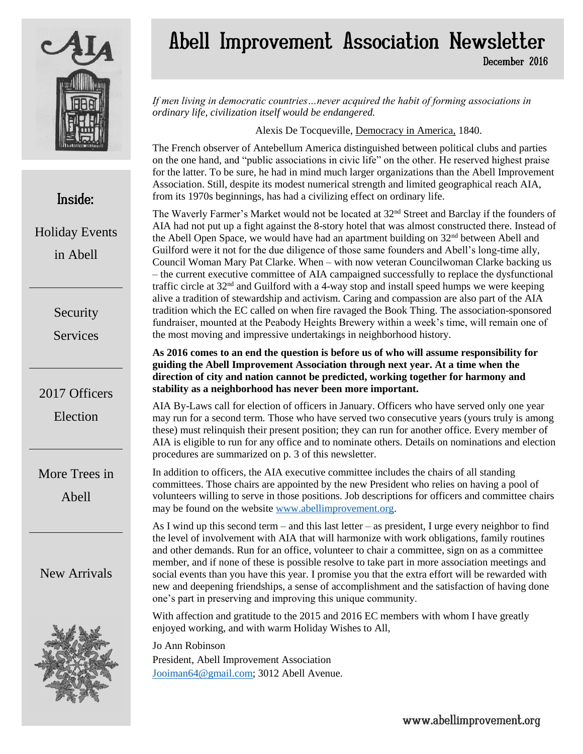

## Abell Improvement Association Newsletter December 2016

*If men living in democratic countries…never acquired the habit of forming associations in ordinary life, civilization itself would be endangered.*

Alexis De Tocqueville, Democracy in America, 1840.

The French observer of Antebellum America distinguished between political clubs and parties on the one hand, and "public associations in civic life" on the other. He reserved highest praise for the latter. To be sure, he had in mind much larger organizations than the Abell Improvement Association. Still, despite its modest numerical strength and limited geographical reach AIA, from its 1970s beginnings, has had a civilizing effect on ordinary life.

The Waverly Farmer's Market would not be located at 32<sup>nd</sup> Street and Barclay if the founders of AIA had not put up a fight against the 8-story hotel that was almost constructed there. Instead of the Abell Open Space, we would have had an apartment building on  $32<sup>nd</sup>$  between Abell and Guilford were it not for the due diligence of those same founders and Abell's long-time ally, Council Woman Mary Pat Clarke. When – with now veteran Councilwoman Clarke backing us – the current executive committee of AIA campaigned successfully to replace the dysfunctional traffic circle at  $32<sup>nd</sup>$  and Guilford with a 4-way stop and install speed humps we were keeping alive a tradition of stewardship and activism. Caring and compassion are also part of the AIA tradition which the EC called on when fire ravaged the Book Thing. The association-sponsored fundraiser, mounted at the Peabody Heights Brewery within a week's time, will remain one of the most moving and impressive undertakings in neighborhood history.

**As 2016 comes to an end the question is before us of who will assume responsibility for guiding the Abell Improvement Association through next year. At a time when the direction of city and nation cannot be predicted, working together for harmony and stability as a neighborhood has never been more important.**

AIA By-Laws call for election of officers in January. Officers who have served only one year may run for a second term. Those who have served two consecutive years (yours truly is among these) must relinquish their present position; they can run for another office. Every member of AIA is eligible to run for any office and to nominate others. Details on nominations and election procedures are summarized on p. 3 of this newsletter.

In addition to officers, the AIA executive committee includes the chairs of all standing committees. Those chairs are appointed by the new President who relies on having a pool of volunteers willing to serve in those positions. Job descriptions for officers and committee chairs may be found on the websit[e www.abellimprovement.org.](http://www.abellimprovement.org/)

As I wind up this second term – and this last letter – as president, I urge every neighbor to find the level of involvement with AIA that will harmonize with work obligations, family routines and other demands. Run for an office, volunteer to chair a committee, sign on as a committee member, and if none of these is possible resolve to take part in more association meetings and social events than you have this year. I promise you that the extra effort will be rewarded with new and deepening friendships, a sense of accomplishment and the satisfaction of having done one's part in preserving and improving this unique community.

With affection and gratitude to the 2015 and 2016 EC members with whom I have greatly enjoyed working, and with warm Holiday Wishes to All,

Jo Ann Robinson President, Abell Improvement Association [Jooiman64@gmail.com;](mailto:Jooiman64@gmail.com) 3012 Abell Avenue.

# Inside:

Holiday Events in Abell

Security

Services

#### 2017 Officers

Election

More Trees in

Abell

New Arrivals

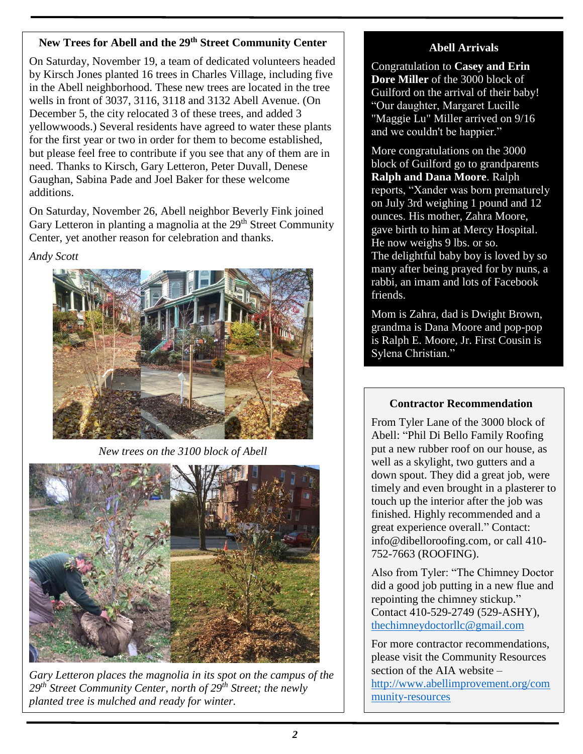#### **New Trees for Abell and the 29th Street Community Center**

On Saturday, November 19, a team of dedicated volunteers headed by Kirsch Jones planted 16 trees in Charles Village, including five in the Abell neighborhood. These new trees are located in the tree wells in front of 3037, 3116, 3118 and 3132 Abell Avenue. (On December 5, the city relocated 3 of these trees, and added 3 yellowwoods.) Several residents have agreed to water these plants for the first year or two in order for them to become established, but please feel free to contribute if you see that any of them are in need. Thanks to Kirsch, Gary Letteron, Peter Duvall, Denese Gaughan, Sabina Pade and Joel Baker for these welcome additions.

On Saturday, November 26, Abell neighbor Beverly Fink joined Gary Letteron in planting a magnolia at the 29<sup>th</sup> Street Community Center, yet another reason for celebration and thanks.

*Andy Scott*



*New trees on the 3100 block of Abell*



*Gary Letteron places the magnolia in its spot on the campus of the 29th Street Community Center, north of 29th Street; the newly planted tree is mulched and ready for winter.*

#### **Abell Arrivals**

Congratulation to **Casey and Erin Dore Miller** of the 3000 block of Guilford on the arrival of their baby! "Our daughter, Margaret Lucille "Maggie Lu" Miller arrived on 9/16 and we couldn't be happier."

More congratulations on the 3000 block of Guilford go to grandparents **Ralph and Dana Moore**. Ralph reports, "Xander was born prematurely on July 3rd weighing 1 pound and 12 ounces. His mother, Zahra Moore, gave birth to him at Mercy Hospital. He now weighs 9 lbs. or so. The delightful baby boy is loved by so many after being prayed for by nuns, a rabbi, an imam and lots of Facebook friends.

Mom is Zahra, dad is Dwight Brown, grandma is Dana Moore and pop-pop is Ralph E. Moore, Jr. First Cousin is Sylena Christian."

#### **Contractor Recommendation**

From Tyler Lane of the 3000 block of Abell: "Phil Di Bello Family Roofing put a new rubber roof on our house, as well as a skylight, two gutters and a down spout. They did a great job, were timely and even brought in a plasterer to touch up the interior after the job was finished. Highly recommended and a great experience overall." Contact: [info@dibelloroofing.com,](mailto:info@dibelloroofing.com) or call [410-](tel:(410)%20752-7663) [752-7663](tel:(410)%20752-7663) (ROOFING).

Also from Tyler: "The Chimney Doctor did a good job putting in a new flue and repointing the chimney stickup." Contact 410-529-2749 (529-ASHY), [thechimneydoctorllc@gmail.com](mailto:thechimneydoctorllc@gmail.com)

For more contractor recommendations, please visit the Community Resources section of the AIA website – [http://www.abellimprovement.org/com](http://www.abellimprovement.org/community-resources) [munity-resources](http://www.abellimprovement.org/community-resources)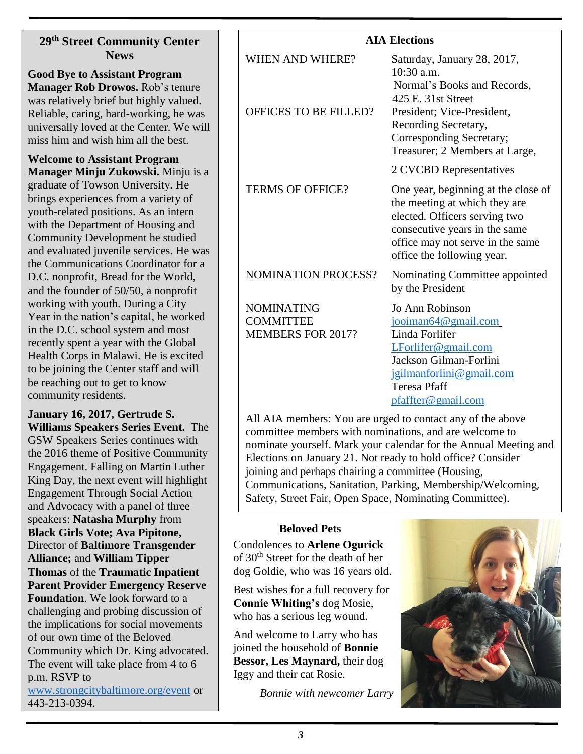#### **29th Street Community Center News**

**Good Bye to Assistant Program Manager Rob Drowos.** Rob's tenure was relatively brief but highly valued. Reliable, caring, hard-working, he was universally loved at the Center. We will miss him and wish him all the best.

**Welcome to Assistant Program Manager Minju Zukowski.** Minju is a graduate of Towson University. He brings experiences from a variety of youth-related positions. As an intern with the Department of Housing and Community Development he studied and evaluated juvenile services. He was the Communications Coordinator for a D.C. nonprofit, Bread for the World, and the founder of 50/50, a nonprofit working with youth. During a City Year in the nation's capital, he worked in the D.C. school system and most recently spent a year with the Global Health Corps in Malawi. He is excited to be joining the Center staff and will be reaching out to get to know community residents.

**January 16, 2017, Gertrude S. Williams Speakers Series Event.** The GSW Speakers Series continues with the 2016 theme of Positive Community Engagement. Falling on Martin Luther King Day, the next event will highlight Engagement Through Social Action and Advocacy with a panel of three speakers: **Natasha Murphy** from **Black Girls Vote; Ava Pipitone,**  Director of **Baltimore Transgender Alliance;** and **William Tipper Thomas** of the **Traumatic Inpatient Parent Provider Emergency Reserve Foundation**. We look forward to a challenging and probing discussion of the implications for social movements of our own time of the Beloved Community which Dr. King advocated. The event will take place from 4 to 6 p.m. RSVP to

[www.strongcitybaltimore.org/event](http://www.strongcitybaltimore.org/event) or 443-213-0394.

| <b>WHEN AND WHERE?</b>                                            | Saturday, January 28, 2017,<br>$10:30$ a.m.<br>Normal's Books and Records,<br>425 E. 31st Street                                                                                                         |
|-------------------------------------------------------------------|----------------------------------------------------------------------------------------------------------------------------------------------------------------------------------------------------------|
| <b>OFFICES TO BE FILLED?</b>                                      | President; Vice-President,<br>Recording Secretary,<br>Corresponding Secretary;<br>Treasurer; 2 Members at Large,                                                                                         |
|                                                                   | 2 CVCBD Representatives                                                                                                                                                                                  |
| <b>TERMS OF OFFICE?</b>                                           | One year, beginning at the close of<br>the meeting at which they are<br>elected. Officers serving two<br>consecutive years in the same<br>office may not serve in the same<br>office the following year. |
| <b>NOMINATION PROCESS?</b>                                        | Nominating Committee appointed<br>by the President                                                                                                                                                       |
| <b>NOMINATING</b><br><b>COMMITTEE</b><br><b>MEMBERS FOR 2017?</b> | Jo Ann Robinson<br>jooiman64@gmail.com<br>Linda Forlifer<br>LForlifer@gmail.com<br>Jackson Gilman-Forlini<br>jgilmanforlini@gmail.com<br><b>Teresa Pfaff</b><br>pfaffter@gmail.com                       |
|                                                                   |                                                                                                                                                                                                          |

All AIA members: You are urged to contact any of the above committee members with nominations, and are welcome to nominate yourself. Mark your calendar for the Annual Meeting and Elections on January 21. Not ready to hold office? Consider joining and perhaps chairing a committee (Housing, Communications, Sanitation, Parking, Membership/Welcoming, Safety, Street Fair, Open Space, Nominating Committee).

#### **Beloved Pets**

Condolences to **Arlene Ogurick** of 30th Street for the death of her dog Goldie, who was 16 years old.

Best wishes for a full recovery for **Connie Whiting's** dog Mosie, who has a serious leg wound.

And welcome to Larry who has joined the household of **Bonnie Bessor, Les Maynard,** their dog Iggy and their cat Rosie.

*Bonnie with newcomer Larry*



#### **AIA Elections**